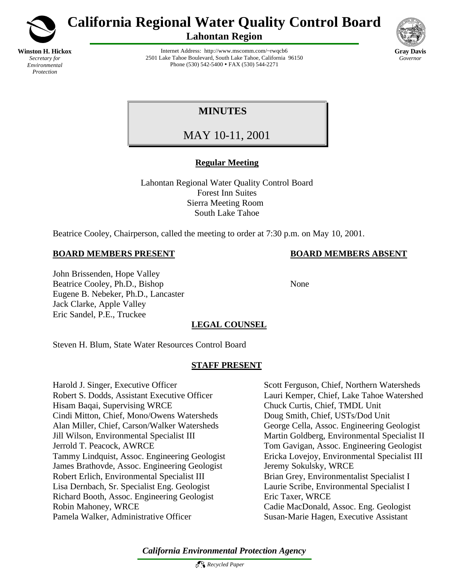

*Protection*

**California Regional Water Quality Control Board**

**Lahontan Region**



Internet Address: http://www.mscomm.com/~rwqcb6 2501 Lake Tahoe Boulevard, South Lake Tahoe, California 96150 Phone (530) 542-5400 • FAX (530) 544-2271

# **MINUTES**

MAY 10-11, 2001

# **Regular Meeting**

Lahontan Regional Water Quality Control Board Forest Inn Suites Sierra Meeting Room South Lake Tahoe

Beatrice Cooley, Chairperson, called the meeting to order at 7:30 p.m. on May 10, 2001.

# **BOARD MEMBERS PRESENT BOARD MEMBERS ABSENT**

John Brissenden, Hope Valley Beatrice Cooley, Ph.D., Bishop None Eugene B. Nebeker, Ph.D., Lancaster Jack Clarke, Apple Valley Eric Sandel, P.E., Truckee

# **LEGAL COUNSEL**

Steven H. Blum, State Water Resources Control Board

# **STAFF PRESENT**

Harold J. Singer, Executive Officer Scott Ferguson, Chief, Northern Watersheds Robert S. Dodds, Assistant Executive Officer Lauri Kemper, Chief, Lake Tahoe Watershed Hisam Baqai, Supervising WRCE Chuck Curtis, Chief, TMDL Unit Cindi Mitton, Chief, Mono/Owens Watersheds Doug Smith, Chief, USTs/Dod Unit Alan Miller, Chief, Carson/Walker Watersheds George Cella, Assoc. Engineering Geologist Jill Wilson, Environmental Specialist III Martin Goldberg, Environmental Specialist II Jerrold T. Peacock, AWRCE Tom Gavigan, Assoc. Engineering Geologist Tammy Lindquist, Assoc. Engineering Geologist Ericka Lovejoy, Environmental Specialist III James Brathovde, Assoc. Engineering Geologist Jeremy Sokulsky, WRCE Robert Erlich, Environmental Specialist III Brian Grey, Environmentalist Specialist I Lisa Dernbach, Sr. Specialist Eng. Geologist Laurie Scribe, Environmental Specialist I Richard Booth, Assoc. Engineering Geologist Eric Taxer, WRCE Robin Mahoney, WRCE Cadie MacDonald, Assoc. Eng. Geologist Pamela Walker, Administrative Officer Susan-Marie Hagen, Executive Assistant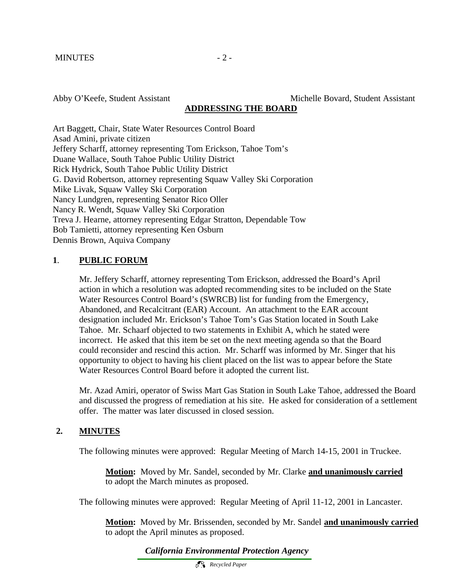Abby O'Keefe, Student Assistant Michelle Bovard, Student Assistant

#### **ADDRESSING THE BOARD**

Art Baggett, Chair, State Water Resources Control Board Asad Amini, private citizen Jeffery Scharff, attorney representing Tom Erickson, Tahoe Tom's Duane Wallace, South Tahoe Public Utility District Rick Hydrick, South Tahoe Public Utility District G. David Robertson, attorney representing Squaw Valley Ski Corporation Mike Livak, Squaw Valley Ski Corporation Nancy Lundgren, representing Senator Rico Oller Nancy R. Wendt, Squaw Valley Ski Corporation Treva J. Hearne, attorney representing Edgar Stratton, Dependable Tow Bob Tamietti, attorney representing Ken Osburn Dennis Brown, Aquiva Company

# **1**. **PUBLIC FORUM**

Mr. Jeffery Scharff, attorney representing Tom Erickson, addressed the Board's April action in which a resolution was adopted recommending sites to be included on the State Water Resources Control Board's (SWRCB) list for funding from the Emergency, Abandoned, and Recalcitrant (EAR) Account. An attachment to the EAR account designation included Mr. Erickson's Tahoe Tom's Gas Station located in South Lake Tahoe. Mr. Schaarf objected to two statements in Exhibit A, which he stated were incorrect. He asked that this item be set on the next meeting agenda so that the Board could reconsider and rescind this action. Mr. Scharff was informed by Mr. Singer that his opportunity to object to having his client placed on the list was to appear before the State Water Resources Control Board before it adopted the current list.

Mr. Azad Amiri, operator of Swiss Mart Gas Station in South Lake Tahoe, addressed the Board and discussed the progress of remediation at his site. He asked for consideration of a settlement offer. The matter was later discussed in closed session.

# **2. MINUTES**

The following minutes were approved: Regular Meeting of March 14-15, 2001 in Truckee.

**Motion:** Moved by Mr. Sandel, seconded by Mr. Clarke **and unanimously carried** to adopt the March minutes as proposed.

The following minutes were approved: Regular Meeting of April 11-12, 2001 in Lancaster.

**Motion:** Moved by Mr. Brissenden, seconded by Mr. Sandel **and unanimously carried** to adopt the April minutes as proposed.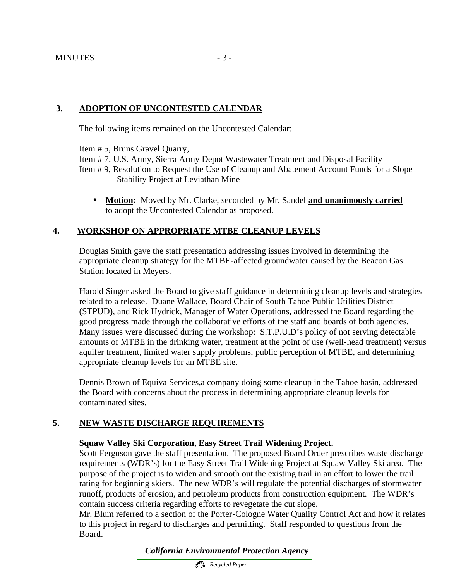# **3. ADOPTION OF UNCONTESTED CALENDAR**

The following items remained on the Uncontested Calendar:

Item # 5, Bruns Gravel Quarry,

Item # 7, U.S. Army, Sierra Army Depot Wastewater Treatment and Disposal Facility

- Item # 9, Resolution to Request the Use of Cleanup and Abatement Account Funds for a Slope Stability Project at Leviathan Mine
	- **Motion:** Moved by Mr. Clarke, seconded by Mr. Sandel **and unanimously carried** to adopt the Uncontested Calendar as proposed.

# **4. WORKSHOP ON APPROPRIATE MTBE CLEANUP LEVELS**

Douglas Smith gave the staff presentation addressing issues involved in determining the appropriate cleanup strategy for the MTBE-affected groundwater caused by the Beacon Gas Station located in Meyers.

Harold Singer asked the Board to give staff guidance in determining cleanup levels and strategies related to a release. Duane Wallace, Board Chair of South Tahoe Public Utilities District (STPUD), and Rick Hydrick, Manager of Water Operations, addressed the Board regarding the good progress made through the collaborative efforts of the staff and boards of both agencies. Many issues were discussed during the workshop: S.T.P.U.D's policy of not serving detectable amounts of MTBE in the drinking water, treatment at the point of use (well-head treatment) versus aquifer treatment, limited water supply problems, public perception of MTBE, and determining appropriate cleanup levels for an MTBE site.

Dennis Brown of Equiva Services,a company doing some cleanup in the Tahoe basin, addressed the Board with concerns about the process in determining appropriate cleanup levels for contaminated sites.

# **5. NEW WASTE DISCHARGE REQUIREMENTS**

# **Squaw Valley Ski Corporation, Easy Street Trail Widening Project.**

Scott Ferguson gave the staff presentation. The proposed Board Order prescribes waste discharge requirements (WDR's) for the Easy Street Trail Widening Project at Squaw Valley Ski area. The purpose of the project is to widen and smooth out the existing trail in an effort to lower the trail rating for beginning skiers. The new WDR's will regulate the potential discharges of stormwater runoff, products of erosion, and petroleum products from construction equipment. The WDR's contain success criteria regarding efforts to revegetate the cut slope.

Mr. Blum referred to a section of the Porter-Cologne Water Quality Control Act and how it relates to this project in regard to discharges and permitting. Staff responded to questions from the Board.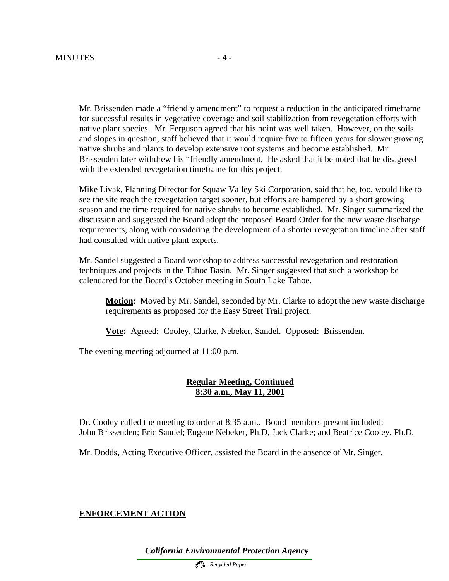Mr. Brissenden made a "friendly amendment" to request a reduction in the anticipated timeframe for successful results in vegetative coverage and soil stabilization from revegetation efforts with native plant species. Mr. Ferguson agreed that his point was well taken. However, on the soils and slopes in question, staff believed that it would require five to fifteen years for slower growing native shrubs and plants to develop extensive root systems and become established. Mr. Brissenden later withdrew his "friendly amendment. He asked that it be noted that he disagreed with the extended revegetation timeframe for this project.

Mike Livak, Planning Director for Squaw Valley Ski Corporation, said that he, too, would like to see the site reach the revegetation target sooner, but efforts are hampered by a short growing season and the time required for native shrubs to become established. Mr. Singer summarized the discussion and suggested the Board adopt the proposed Board Order for the new waste discharge requirements, along with considering the development of a shorter revegetation timeline after staff had consulted with native plant experts.

Mr. Sandel suggested a Board workshop to address successful revegetation and restoration techniques and projects in the Tahoe Basin. Mr. Singer suggested that such a workshop be calendared for the Board's October meeting in South Lake Tahoe.

**Motion:** Moved by Mr. Sandel, seconded by Mr. Clarke to adopt the new waste discharge requirements as proposed for the Easy Street Trail project.

**Vote:** Agreed: Cooley, Clarke, Nebeker, Sandel. Opposed: Brissenden.

The evening meeting adjourned at 11:00 p.m.

#### **Regular Meeting, Continued 8:30 a.m., May 11, 2001**

Dr. Cooley called the meeting to order at 8:35 a.m.. Board members present included: John Brissenden; Eric Sandel; Eugene Nebeker, Ph.D, Jack Clarke; and Beatrice Cooley, Ph.D.

Mr. Dodds, Acting Executive Officer, assisted the Board in the absence of Mr. Singer.

#### **ENFORCEMENT ACTION**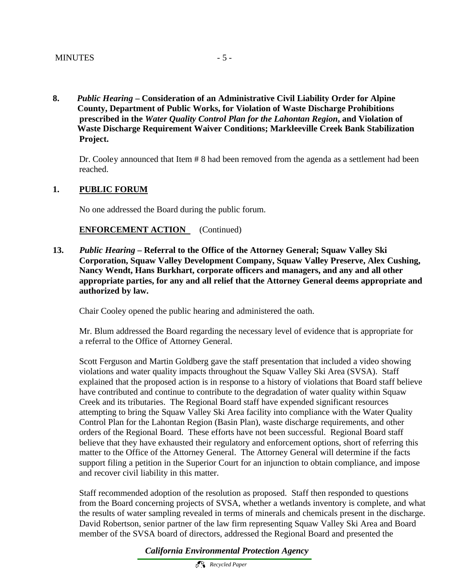**8.** *Public Hearing* **– Consideration of an Administrative Civil Liability Order for Alpine County, Department of Public Works, for Violation of Waste Discharge Prohibitions prescribed in the** *Water Quality Control Plan for the Lahontan Region***, and Violation of Waste Discharge Requirement Waiver Conditions; Markleeville Creek Bank Stabilization Project.**

Dr. Cooley announced that Item # 8 had been removed from the agenda as a settlement had been reached.

#### **1. PUBLIC FORUM**

No one addressed the Board during the public forum.

#### **ENFORCEMENT ACTION** (Continued)

**13.** *Public Hearing* **– Referral to the Office of the Attorney General; Squaw Valley Ski Corporation, Squaw Valley Development Company, Squaw Valley Preserve, Alex Cushing, Nancy Wendt, Hans Burkhart, corporate officers and managers, and any and all other appropriate parties, for any and all relief that the Attorney General deems appropriate and authorized by law.**

Chair Cooley opened the public hearing and administered the oath.

Mr. Blum addressed the Board regarding the necessary level of evidence that is appropriate for a referral to the Office of Attorney General.

Scott Ferguson and Martin Goldberg gave the staff presentation that included a video showing violations and water quality impacts throughout the Squaw Valley Ski Area (SVSA). Staff explained that the proposed action is in response to a history of violations that Board staff believe have contributed and continue to contribute to the degradation of water quality within Squaw Creek and its tributaries. The Regional Board staff have expended significant resources attempting to bring the Squaw Valley Ski Area facility into compliance with the Water Quality Control Plan for the Lahontan Region (Basin Plan), waste discharge requirements, and other orders of the Regional Board. These efforts have not been successful. Regional Board staff believe that they have exhausted their regulatory and enforcement options, short of referring this matter to the Office of the Attorney General. The Attorney General will determine if the facts support filing a petition in the Superior Court for an injunction to obtain compliance, and impose and recover civil liability in this matter.

Staff recommended adoption of the resolution as proposed. Staff then responded to questions from the Board concerning projects of SVSA, whether a wetlands inventory is complete, and what the results of water sampling revealed in terms of minerals and chemicals present in the discharge. David Robertson, senior partner of the law firm representing Squaw Valley Ski Area and Board member of the SVSA board of directors, addressed the Regional Board and presented the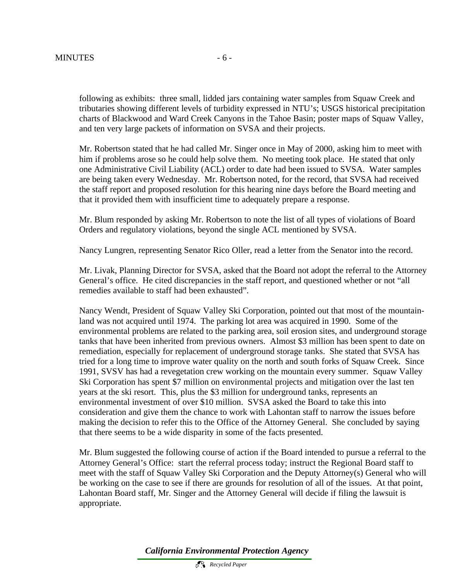following as exhibits: three small, lidded jars containing water samples from Squaw Creek and tributaries showing different levels of turbidity expressed in NTU's; USGS historical precipitation charts of Blackwood and Ward Creek Canyons in the Tahoe Basin; poster maps of Squaw Valley, and ten very large packets of information on SVSA and their projects.

Mr. Robertson stated that he had called Mr. Singer once in May of 2000, asking him to meet with him if problems arose so he could help solve them. No meeting took place. He stated that only one Administrative Civil Liability (ACL) order to date had been issued to SVSA. Water samples are being taken every Wednesday. Mr. Robertson noted, for the record, that SVSA had received the staff report and proposed resolution for this hearing nine days before the Board meeting and that it provided them with insufficient time to adequately prepare a response.

Mr. Blum responded by asking Mr. Robertson to note the list of all types of violations of Board Orders and regulatory violations, beyond the single ACL mentioned by SVSA.

Nancy Lungren, representing Senator Rico Oller, read a letter from the Senator into the record.

Mr. Livak, Planning Director for SVSA, asked that the Board not adopt the referral to the Attorney General's office. He cited discrepancies in the staff report, and questioned whether or not "all remedies available to staff had been exhausted".

Nancy Wendt, President of Squaw Valley Ski Corporation, pointed out that most of the mountainland was not acquired until 1974. The parking lot area was acquired in 1990. Some of the environmental problems are related to the parking area, soil erosion sites, and underground storage tanks that have been inherited from previous owners. Almost \$3 million has been spent to date on remediation, especially for replacement of underground storage tanks. She stated that SVSA has tried for a long time to improve water quality on the north and south forks of Squaw Creek. Since 1991, SVSV has had a revegetation crew working on the mountain every summer. Squaw Valley Ski Corporation has spent \$7 million on environmental projects and mitigation over the last ten years at the ski resort. This, plus the \$3 million for underground tanks, represents an environmental investment of over \$10 million. SVSA asked the Board to take this into consideration and give them the chance to work with Lahontan staff to narrow the issues before making the decision to refer this to the Office of the Attorney General. She concluded by saying that there seems to be a wide disparity in some of the facts presented.

Mr. Blum suggested the following course of action if the Board intended to pursue a referral to the Attorney General's Office: start the referral process today; instruct the Regional Board staff to meet with the staff of Squaw Valley Ski Corporation and the Deputy Attorney(s) General who will be working on the case to see if there are grounds for resolution of all of the issues. At that point, Lahontan Board staff, Mr. Singer and the Attorney General will decide if filing the lawsuit is appropriate.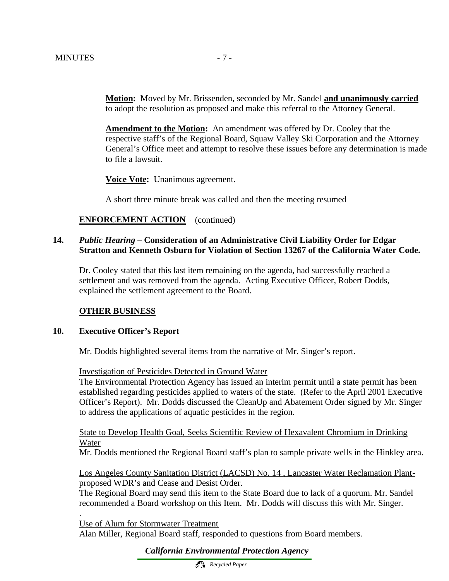**Motion:** Moved by Mr. Brissenden, seconded by Mr. Sandel **and unanimously carried** to adopt the resolution as proposed and make this referral to the Attorney General.

**Amendment to the Motion:** An amendment was offered by Dr. Cooley that the respective staff's of the Regional Board, Squaw Valley Ski Corporation and the Attorney General's Office meet and attempt to resolve these issues before any determination is made to file a lawsuit.

**Voice Vote:** Unanimous agreement.

A short three minute break was called and then the meeting resumed

#### **ENFORCEMENT ACTION** (continued)

#### **14.** *Public Hearing –* **Consideration of an Administrative Civil Liability Order for Edgar Stratton and Kenneth Osburn for Violation of Section 13267 of the California Water Code.**

Dr. Cooley stated that this last item remaining on the agenda, had successfully reached a settlement and was removed from the agenda. Acting Executive Officer, Robert Dodds, explained the settlement agreement to the Board.

#### **OTHER BUSINESS**

#### **10. Executive Officer's Report**

.

Mr. Dodds highlighted several items from the narrative of Mr. Singer's report.

Investigation of Pesticides Detected in Ground Water

The Environmental Protection Agency has issued an interim permit until a state permit has been established regarding pesticides applied to waters of the state. (Refer to the April 2001 Executive Officer's Report). Mr. Dodds discussed the CleanUp and Abatement Order signed by Mr. Singer to address the applications of aquatic pesticides in the region.

State to Develop Health Goal, Seeks Scientific Review of Hexavalent Chromium in Drinking Water

Mr. Dodds mentioned the Regional Board staff's plan to sample private wells in the Hinkley area.

Los Angeles County Sanitation District (LACSD) No. 14 , Lancaster Water Reclamation Plantproposed WDR's and Cease and Desist Order.

The Regional Board may send this item to the State Board due to lack of a quorum. Mr. Sandel recommended a Board workshop on this Item. Mr. Dodds will discuss this with Mr. Singer.

Use of Alum for Stormwater Treatment Alan Miller, Regional Board staff, responded to questions from Board members.